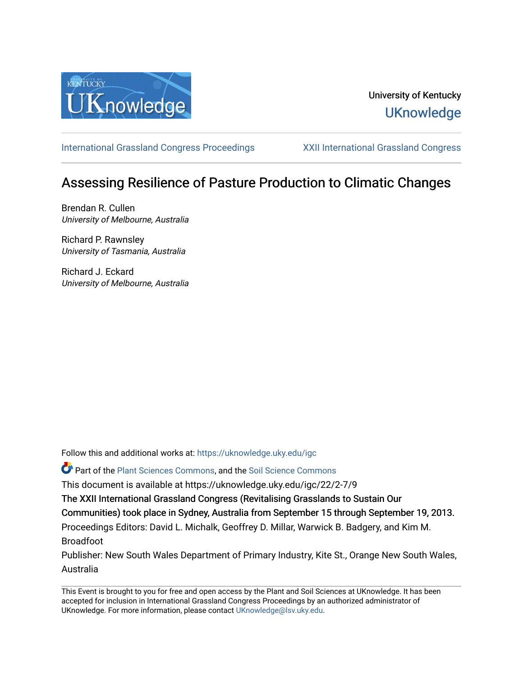

## University of Kentucky **UKnowledge**

[International Grassland Congress Proceedings](https://uknowledge.uky.edu/igc) [XXII International Grassland Congress](https://uknowledge.uky.edu/igc/22) 

# Assessing Resilience of Pasture Production to Climatic Changes

Brendan R. Cullen University of Melbourne, Australia

Richard P. Rawnsley University of Tasmania, Australia

Richard J. Eckard University of Melbourne, Australia

Follow this and additional works at: [https://uknowledge.uky.edu/igc](https://uknowledge.uky.edu/igc?utm_source=uknowledge.uky.edu%2Figc%2F22%2F2-7%2F9&utm_medium=PDF&utm_campaign=PDFCoverPages) 

Part of the [Plant Sciences Commons](http://network.bepress.com/hgg/discipline/102?utm_source=uknowledge.uky.edu%2Figc%2F22%2F2-7%2F9&utm_medium=PDF&utm_campaign=PDFCoverPages), and the [Soil Science Commons](http://network.bepress.com/hgg/discipline/163?utm_source=uknowledge.uky.edu%2Figc%2F22%2F2-7%2F9&utm_medium=PDF&utm_campaign=PDFCoverPages) 

This document is available at https://uknowledge.uky.edu/igc/22/2-7/9

The XXII International Grassland Congress (Revitalising Grasslands to Sustain Our

Communities) took place in Sydney, Australia from September 15 through September 19, 2013.

Proceedings Editors: David L. Michalk, Geoffrey D. Millar, Warwick B. Badgery, and Kim M. Broadfoot

Publisher: New South Wales Department of Primary Industry, Kite St., Orange New South Wales, Australia

This Event is brought to you for free and open access by the Plant and Soil Sciences at UKnowledge. It has been accepted for inclusion in International Grassland Congress Proceedings by an authorized administrator of UKnowledge. For more information, please contact [UKnowledge@lsv.uky.edu](mailto:UKnowledge@lsv.uky.edu).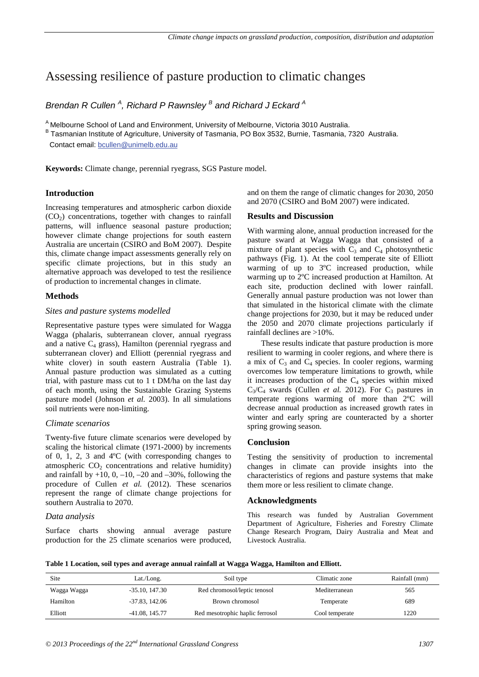### Assessing resilience of pasture production to climatic changes

Brendan R Cullen<sup>A</sup>, Richard P Rawnsley<sup>B</sup> and Richard J Eckard<sup>A</sup>

<sup>A</sup> Melbourne School of Land and Environment, University of Melbourne, Victoria 3010 Australia.

B Tasmanian Institute of Agriculture, University of Tasmania, PO Box 3532, Burnie, Tasmania, 7320 Australia.

Contact email: bcullen@unimelb.edu.au

**Keywords:** Climate change, perennial ryegrass, SGS Pasture model.

#### **Introduction**

Increasing temperatures and atmospheric carbon dioxide  $(CO<sub>2</sub>)$  concentrations, together with changes to rainfall patterns, will influence seasonal pasture production; however climate change projections for south eastern Australia are uncertain (CSIRO and BoM 2007). Despite this, climate change impact assessments generally rely on specific climate projections, but in this study an alternative approach was developed to test the resilience of production to incremental changes in climate.

#### **Methods**

#### *Sites and pasture systems modelled*

Representative pasture types were simulated for Wagga Wagga (phalaris, subterranean clover, annual ryegrass and a native  $C_4$  grass), Hamilton (perennial ryegrass and subterranean clover) and Elliott (perennial ryegrass and white clover) in south eastern Australia (Table 1). Annual pasture production was simulated as a cutting trial, with pasture mass cut to 1 t DM/ha on the last day of each month, using the Sustainable Grazing Systems pasture model (Johnson *et al.* 2003). In all simulations soil nutrients were non-limiting.

#### *Climate scenarios*

Twenty-five future climate scenarios were developed by scaling the historical climate (1971-2000) by increments of 0, 1, 2, 3 and 4ºC (with corresponding changes to atmospheric  $CO<sub>2</sub>$  concentrations and relative humidity) and rainfall by  $+10$ , 0,  $-10$ ,  $-20$  and  $-30$ %, following the procedure of Cullen *et al.* (2012). These scenarios represent the range of climate change projections for southern Australia to 2070.

#### *Data analysis*

Surface charts showing annual average pasture production for the 25 climate scenarios were produced, and on them the range of climatic changes for 2030, 2050 and 2070 (CSIRO and BoM 2007) were indicated.

#### **Results and Discussion**

With warming alone, annual production increased for the pasture sward at Wagga Wagga that consisted of a mixture of plant species with  $C_3$  and  $C_4$  photosynthetic pathways (Fig. 1). At the cool temperate site of Elliott warming of up to 3ºC increased production, while warming up to 2ºC increased production at Hamilton. At each site, production declined with lower rainfall. Generally annual pasture production was not lower than that simulated in the historical climate with the climate change projections for 2030, but it may be reduced under the 2050 and 2070 climate projections particularly if rainfall declines are >10%.

These results indicate that pasture production is more resilient to warming in cooler regions, and where there is a mix of  $C_3$  and  $C_4$  species. In cooler regions, warming overcomes low temperature limitations to growth, while it increases production of the  $C_4$  species within mixed  $C_3/C_4$  swards (Cullen *et al.* 2012). For  $C_3$  pastures in temperate regions warming of more than 2ºC will decrease annual production as increased growth rates in winter and early spring are counteracted by a shorter spring growing season.

#### **Conclusion**

Testing the sensitivity of production to incremental changes in climate can provide insights into the characteristics of regions and pasture systems that make them more or less resilient to climate change.

#### **Acknowledgments**

This research was funded by Australian Government Department of Agriculture, Fisheries and Forestry Climate Change Research Program, Dairy Australia and Meat and Livestock Australia.

**Table 1 Location, soil types and average annual rainfall at Wagga Wagga, Hamilton and Elliott.**

| Site        | Lat./Long.          | Soil type                       | Climatic zone  | Rainfall (mm) |
|-------------|---------------------|---------------------------------|----------------|---------------|
| Wagga Wagga | $-35.10$ , $147.30$ | Red chromosol/leptic tenosol    | Mediterranean  | 565           |
| Hamilton    | $-37.83, 142.06$    | Brown chromosol                 | Temperate      | 689           |
| Elliott     | -41.08, 145.77      | Red mesotrophic haplic ferrosol | Cool temperate | 1220          |